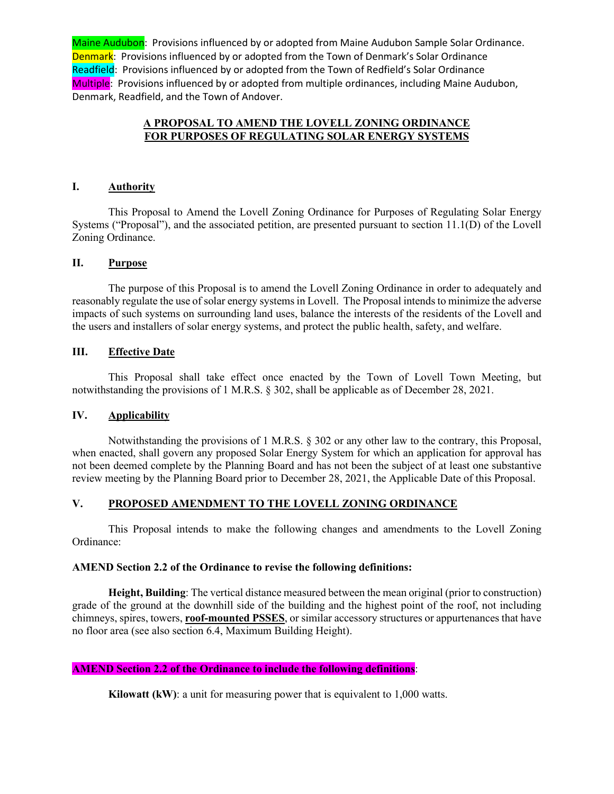### **A PROPOSAL TO AMEND THE LOVELL ZONING ORDINANCE FOR PURPOSES OF REGULATING SOLAR ENERGY SYSTEMS**

### **I. Authority**

This Proposal to Amend the Lovell Zoning Ordinance for Purposes of Regulating Solar Energy Systems ("Proposal"), and the associated petition, are presented pursuant to section 11.1(D) of the Lovell Zoning Ordinance.

### **II. Purpose**

The purpose of this Proposal is to amend the Lovell Zoning Ordinance in order to adequately and reasonably regulate the use of solar energy systems in Lovell. The Proposal intends to minimize the adverse impacts of such systems on surrounding land uses, balance the interests of the residents of the Lovell and the users and installers of solar energy systems, and protect the public health, safety, and welfare.

### **III. Effective Date**

This Proposal shall take effect once enacted by the Town of Lovell Town Meeting, but notwithstanding the provisions of 1 M.R.S. § 302, shall be applicable as of December 28, 2021.

### **IV. Applicability**

Notwithstanding the provisions of 1 M.R.S. § 302 or any other law to the contrary, this Proposal, when enacted, shall govern any proposed Solar Energy System for which an application for approval has not been deemed complete by the Planning Board and has not been the subject of at least one substantive review meeting by the Planning Board prior to December 28, 2021, the Applicable Date of this Proposal.

### **V. PROPOSED AMENDMENT TO THE LOVELL ZONING ORDINANCE**

This Proposal intends to make the following changes and amendments to the Lovell Zoning Ordinance:

#### **AMEND Section 2.2 of the Ordinance to revise the following definitions:**

**Height, Building**: The vertical distance measured between the mean original (prior to construction) grade of the ground at the downhill side of the building and the highest point of the roof, not including chimneys, spires, towers, **roof-mounted PSSES**, or similar accessory structures or appurtenances that have no floor area (see also section 6.4, Maximum Building Height).

### **AMEND Section 2.2 of the Ordinance to include the following definitions**:

**Kilowatt (kW)**: a unit for measuring power that is equivalent to 1,000 watts.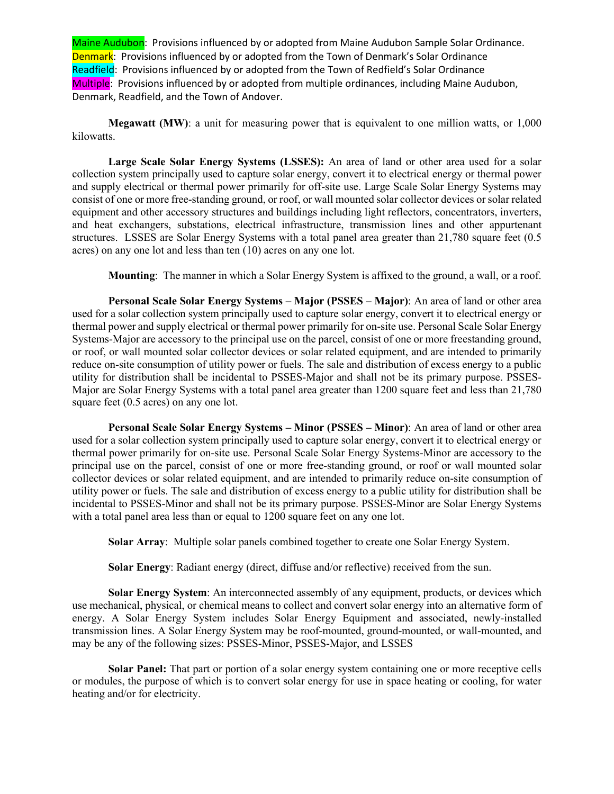**Megawatt (MW)**: a unit for measuring power that is equivalent to one million watts, or 1,000 kilowatts.

**Large Scale Solar Energy Systems (LSSES):** An area of land or other area used for a solar collection system principally used to capture solar energy, convert it to electrical energy or thermal power and supply electrical or thermal power primarily for off-site use. Large Scale Solar Energy Systems may consist of one or more free-standing ground, or roof, or wall mounted solar collector devices or solar related equipment and other accessory structures and buildings including light reflectors, concentrators, inverters, and heat exchangers, substations, electrical infrastructure, transmission lines and other appurtenant structures. LSSES are Solar Energy Systems with a total panel area greater than 21,780 square feet (0.5 acres) on any one lot and less than ten (10) acres on any one lot.

**Mounting**: The manner in which a Solar Energy System is affixed to the ground, a wall, or a roof.

**Personal Scale Solar Energy Systems – Major (PSSES – Major)**: An area of land or other area used for a solar collection system principally used to capture solar energy, convert it to electrical energy or thermal power and supply electrical or thermal power primarily for on-site use. Personal Scale Solar Energy Systems-Major are accessory to the principal use on the parcel, consist of one or more freestanding ground, or roof, or wall mounted solar collector devices or solar related equipment, and are intended to primarily reduce on-site consumption of utility power or fuels. The sale and distribution of excess energy to a public utility for distribution shall be incidental to PSSES-Major and shall not be its primary purpose. PSSES-Major are Solar Energy Systems with a total panel area greater than 1200 square feet and less than 21,780 square feet (0.5 acres) on any one lot.

**Personal Scale Solar Energy Systems – Minor (PSSES – Minor)**: An area of land or other area used for a solar collection system principally used to capture solar energy, convert it to electrical energy or thermal power primarily for on-site use. Personal Scale Solar Energy Systems-Minor are accessory to the principal use on the parcel, consist of one or more free-standing ground, or roof or wall mounted solar collector devices or solar related equipment, and are intended to primarily reduce on-site consumption of utility power or fuels. The sale and distribution of excess energy to a public utility for distribution shall be incidental to PSSES-Minor and shall not be its primary purpose. PSSES-Minor are Solar Energy Systems with a total panel area less than or equal to 1200 square feet on any one lot.

**Solar Array**: Multiple solar panels combined together to create one Solar Energy System.

**Solar Energy**: Radiant energy (direct, diffuse and/or reflective) received from the sun.

**Solar Energy System:** An interconnected assembly of any equipment, products, or devices which use mechanical, physical, or chemical means to collect and convert solar energy into an alternative form of energy. A Solar Energy System includes Solar Energy Equipment and associated, newly-installed transmission lines. A Solar Energy System may be roof-mounted, ground-mounted, or wall-mounted, and may be any of the following sizes: PSSES-Minor, PSSES-Major, and LSSES

**Solar Panel:** That part or portion of a solar energy system containing one or more receptive cells or modules, the purpose of which is to convert solar energy for use in space heating or cooling, for water heating and/or for electricity.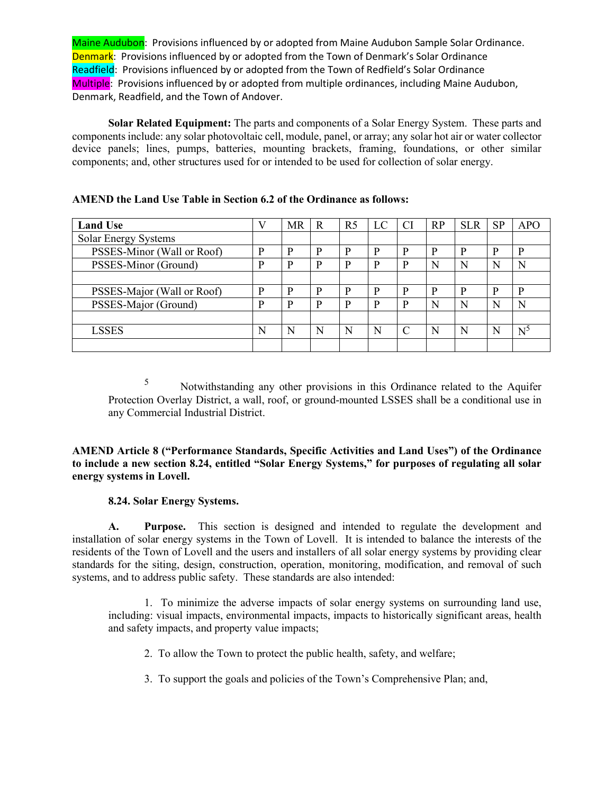**Solar Related Equipment:** The parts and components of a Solar Energy System. These parts and components include: any solar photovoltaic cell, module, panel, or array; any solar hot air or water collector device panels; lines, pumps, batteries, mounting brackets, framing, foundations, or other similar components; and, other structures used for or intended to be used for collection of solar energy.

| <b>Land Use</b>            |   | MR | R | R <sub>5</sub> | LC | <b>CI</b>     | RP | <b>SLR</b> | <b>SP</b> | <b>APO</b> |
|----------------------------|---|----|---|----------------|----|---------------|----|------------|-----------|------------|
| Solar Energy Systems       |   |    |   |                |    |               |    |            |           |            |
| PSSES-Minor (Wall or Roof) | D | D  | P | D              | D  | D             | D  | D          | P         | P          |
| PSSES-Minor (Ground)       | P | P  | P | D              | р  | D             | N  |            | N         | N          |
|                            |   |    |   |                |    |               |    |            |           |            |
| PSSES-Major (Wall or Roof) | P | P  | P | D              | D  | D             | D  | D          | P         | P          |
| PSSES-Major (Ground)       | P | P  | P | D              | p  | P             | N  | N          | N         | N          |
|                            |   |    |   |                |    |               |    |            |           |            |
| <b>LSSES</b>               | N | N  | N | N              | N  | $\mathcal{C}$ | N  | N          | N         | $N^2$      |
|                            |   |    |   |                |    |               |    |            |           |            |

## **AMEND the Land Use Table in Section 6.2 of the Ordinance as follows:**

<sup>5</sup> Notwithstanding any other provisions in this Ordinance related to the Aquifer Protection Overlay District, a wall, roof, or ground-mounted LSSES shall be a conditional use in any Commercial Industrial District.

**AMEND Article 8 ("Performance Standards, Specific Activities and Land Uses") of the Ordinance to include a new section 8.24, entitled "Solar Energy Systems," for purposes of regulating all solar energy systems in Lovell.**

# **8.24. Solar Energy Systems.**

**A. Purpose.** This section is designed and intended to regulate the development and installation of solar energy systems in the Town of Lovell. It is intended to balance the interests of the residents of the Town of Lovell and the users and installers of all solar energy systems by providing clear standards for the siting, design, construction, operation, monitoring, modification, and removal of such systems, and to address public safety. These standards are also intended:

1. To minimize the adverse impacts of solar energy systems on surrounding land use, including: visual impacts, environmental impacts, impacts to historically significant areas, health and safety impacts, and property value impacts;

- 2. To allow the Town to protect the public health, safety, and welfare;
- 3. To support the goals and policies of the Town's Comprehensive Plan; and,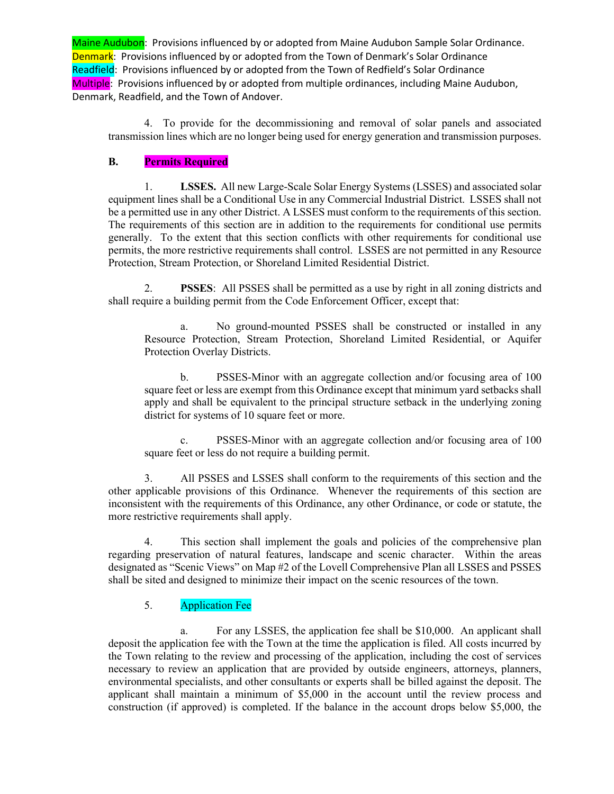4. To provide for the decommissioning and removal of solar panels and associated transmission lines which are no longer being used for energy generation and transmission purposes.

### **B. Permits Required**

1. **LSSES.** All new Large-Scale Solar Energy Systems (LSSES) and associated solar equipment lines shall be a Conditional Use in any Commercial Industrial District. LSSES shall not be a permitted use in any other District. A LSSES must conform to the requirements of this section. The requirements of this section are in addition to the requirements for conditional use permits generally. To the extent that this section conflicts with other requirements for conditional use permits, the more restrictive requirements shall control. LSSES are not permitted in any Resource Protection, Stream Protection, or Shoreland Limited Residential District.

2. **PSSES**: All PSSES shall be permitted as a use by right in all zoning districts and shall require a building permit from the Code Enforcement Officer, except that:

a. No ground-mounted PSSES shall be constructed or installed in any Resource Protection, Stream Protection, Shoreland Limited Residential, or Aquifer Protection Overlay Districts.

b. PSSES-Minor with an aggregate collection and/or focusing area of 100 square feet or less are exempt from this Ordinance except that minimum yard setbacks shall apply and shall be equivalent to the principal structure setback in the underlying zoning district for systems of 10 square feet or more.

c. PSSES-Minor with an aggregate collection and/or focusing area of 100 square feet or less do not require a building permit.

3. All PSSES and LSSES shall conform to the requirements of this section and the other applicable provisions of this Ordinance. Whenever the requirements of this section are inconsistent with the requirements of this Ordinance, any other Ordinance, or code or statute, the more restrictive requirements shall apply.

4. This section shall implement the goals and policies of the comprehensive plan regarding preservation of natural features, landscape and scenic character. Within the areas designated as "Scenic Views" on Map #2 of the Lovell Comprehensive Plan all LSSES and PSSES shall be sited and designed to minimize their impact on the scenic resources of the town.

# 5. Application Fee

a. For any LSSES, the application fee shall be \$10,000. An applicant shall deposit the application fee with the Town at the time the application is filed. All costs incurred by the Town relating to the review and processing of the application, including the cost of services necessary to review an application that are provided by outside engineers, attorneys, planners, environmental specialists, and other consultants or experts shall be billed against the deposit. The applicant shall maintain a minimum of \$5,000 in the account until the review process and construction (if approved) is completed. If the balance in the account drops below \$5,000, the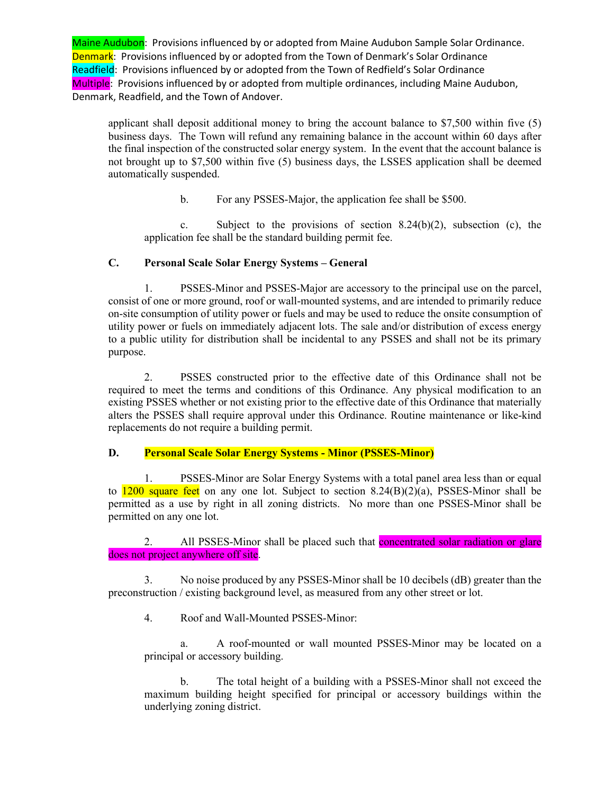applicant shall deposit additional money to bring the account balance to \$7,500 within five (5) business days. The Town will refund any remaining balance in the account within 60 days after the final inspection of the constructed solar energy system. In the event that the account balance is not brought up to \$7,500 within five (5) business days, the LSSES application shall be deemed automatically suspended.

b. For any PSSES-Major, the application fee shall be \$500.

c. Subject to the provisions of section  $8.24(b)(2)$ , subsection (c), the application fee shall be the standard building permit fee.

# **C. Personal Scale Solar Energy Systems – General**

1. PSSES-Minor and PSSES-Major are accessory to the principal use on the parcel, consist of one or more ground, roof or wall-mounted systems, and are intended to primarily reduce on-site consumption of utility power or fuels and may be used to reduce the onsite consumption of utility power or fuels on immediately adjacent lots. The sale and/or distribution of excess energy to a public utility for distribution shall be incidental to any PSSES and shall not be its primary purpose.

2. PSSES constructed prior to the effective date of this Ordinance shall not be required to meet the terms and conditions of this Ordinance. Any physical modification to an existing PSSES whether or not existing prior to the effective date of this Ordinance that materially alters the PSSES shall require approval under this Ordinance. Routine maintenance or like-kind replacements do not require a building permit.

# **D. Personal Scale Solar Energy Systems - Minor (PSSES-Minor)**

1. PSSES-Minor are Solar Energy Systems with a total panel area less than or equal to  $1200$  square feet on any one lot. Subject to section  $8.24(B)(2)(a)$ , PSSES-Minor shall be permitted as a use by right in all zoning districts. No more than one PSSES-Minor shall be permitted on any one lot.

2. All PSSES-Minor shall be placed such that **concentrated solar radiation or glare** does not project anywhere off site.

3. No noise produced by any PSSES-Minor shall be 10 decibels (dB) greater than the preconstruction / existing background level, as measured from any other street or lot.

4. Roof and Wall-Mounted PSSES-Minor:

a. A roof-mounted or wall mounted PSSES-Minor may be located on a principal or accessory building.

b. The total height of a building with a PSSES-Minor shall not exceed the maximum building height specified for principal or accessory buildings within the underlying zoning district.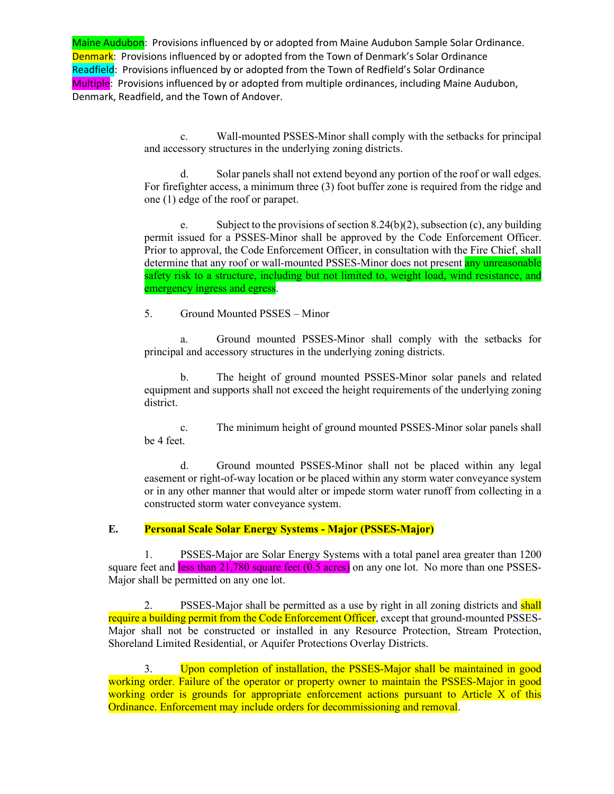> c. Wall-mounted PSSES-Minor shall comply with the setbacks for principal and accessory structures in the underlying zoning districts.

> d. Solar panels shall not extend beyond any portion of the roof or wall edges. For firefighter access, a minimum three (3) foot buffer zone is required from the ridge and one (1) edge of the roof or parapet.

> e. Subject to the provisions of section 8.24(b)(2), subsection (c), any building permit issued for a PSSES-Minor shall be approved by the Code Enforcement Officer. Prior to approval, the Code Enforcement Officer, in consultation with the Fire Chief, shall determine that any roof or wall-mounted PSSES-Minor does not present any unreasonable safety risk to a structure, including but not limited to, weight load, wind resistance, and emergency ingress and egress.

5. Ground Mounted PSSES – Minor

a. Ground mounted PSSES-Minor shall comply with the setbacks for principal and accessory structures in the underlying zoning districts.

The height of ground mounted PSSES-Minor solar panels and related equipment and supports shall not exceed the height requirements of the underlying zoning district.

c. The minimum height of ground mounted PSSES-Minor solar panels shall be 4 feet.

d. Ground mounted PSSES-Minor shall not be placed within any legal easement or right-of-way location or be placed within any storm water conveyance system or in any other manner that would alter or impede storm water runoff from collecting in a constructed storm water conveyance system.

# **E. Personal Scale Solar Energy Systems - Major (PSSES-Major)**

1. PSSES-Major are Solar Energy Systems with a total panel area greater than 1200 square feet and  $less than 21,780$  square feet  $(0.5 \text{ acres})$  on any one lot. No more than one PSSES-Major shall be permitted on any one lot.

2. PSSES-Major shall be permitted as a use by right in all zoning districts and shall require a building permit from the Code Enforcement Officer, except that ground-mounted PSSES-Major shall not be constructed or installed in any Resource Protection, Stream Protection, Shoreland Limited Residential, or Aquifer Protections Overlay Districts.

3. Upon completion of installation, the PSSES-Major shall be maintained in good working order. Failure of the operator or property owner to maintain the PSSES-Major in good working order is grounds for appropriate enforcement actions pursuant to Article X of this Ordinance. Enforcement may include orders for decommissioning and removal.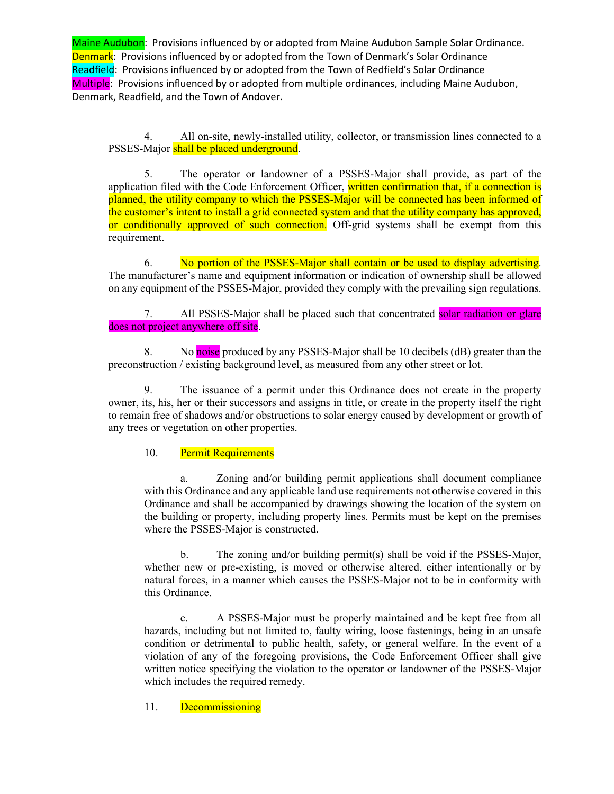4. All on-site, newly-installed utility, collector, or transmission lines connected to a PSSES-Major shall be placed underground.

5. The operator or landowner of a PSSES-Major shall provide, as part of the application filed with the Code Enforcement Officer, written confirmation that, if a connection is planned, the utility company to which the PSSES-Major will be connected has been informed of the customer's intent to install a grid connected system and that the utility company has approved, or conditionally approved of such connection. Off-grid systems shall be exempt from this requirement.

6. No portion of the PSSES-Major shall contain or be used to display advertising. The manufacturer's name and equipment information or indication of ownership shall be allowed on any equipment of the PSSES-Major, provided they comply with the prevailing sign regulations.

7. All PSSES-Major shall be placed such that concentrated solar radiation or glare does not project anywhere off site.

8. No noise produced by any PSSES-Major shall be 10 decibels (dB) greater than the preconstruction / existing background level, as measured from any other street or lot.

9. The issuance of a permit under this Ordinance does not create in the property owner, its, his, her or their successors and assigns in title, or create in the property itself the right to remain free of shadows and/or obstructions to solar energy caused by development or growth of any trees or vegetation on other properties.

# 10. Permit Requirements

a. Zoning and/or building permit applications shall document compliance with this Ordinance and any applicable land use requirements not otherwise covered in this Ordinance and shall be accompanied by drawings showing the location of the system on the building or property, including property lines. Permits must be kept on the premises where the PSSES-Major is constructed.

b. The zoning and/or building permit(s) shall be void if the PSSES-Major, whether new or pre-existing, is moved or otherwise altered, either intentionally or by natural forces, in a manner which causes the PSSES-Major not to be in conformity with this Ordinance.

c. A PSSES-Major must be properly maintained and be kept free from all hazards, including but not limited to, faulty wiring, loose fastenings, being in an unsafe condition or detrimental to public health, safety, or general welfare. In the event of a violation of any of the foregoing provisions, the Code Enforcement Officer shall give written notice specifying the violation to the operator or landowner of the PSSES-Major which includes the required remedy.

### 11. **Decommissioning**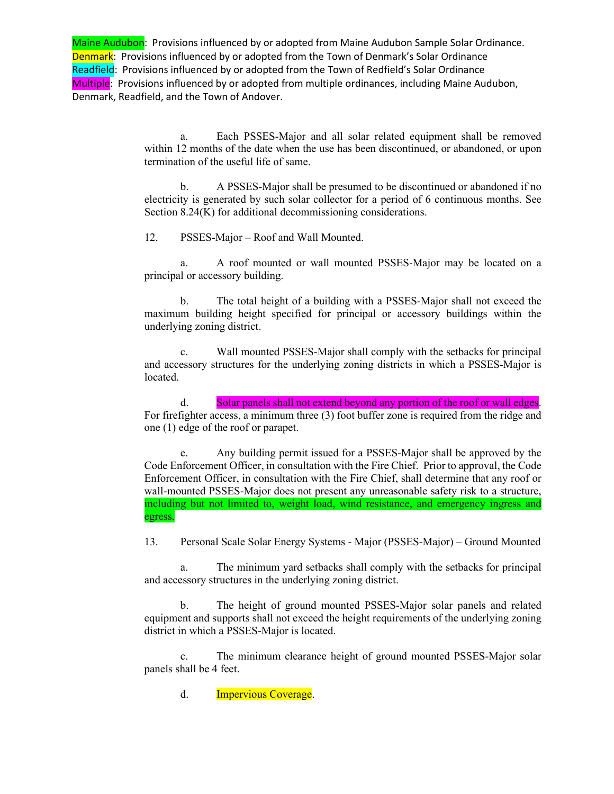> a. Each PSSES-Major and all solar related equipment shall be removed within 12 months of the date when the use has been discontinued, or abandoned, or upon termination of the useful life of same.

> b. A PSSES-Major shall be presumed to be discontinued or abandoned if no electricity is generated by such solar collector for a period of 6 continuous months. See Section 8.24(K) for additional decommissioning considerations.

12. PSSES-Major – Roof and Wall Mounted.

a. A roof mounted or wall mounted PSSES-Major may be located on a principal or accessory building.

b. The total height of a building with a PSSES-Major shall not exceed the maximum building height specified for principal or accessory buildings within the underlying zoning district.

c. Wall mounted PSSES-Major shall comply with the setbacks for principal and accessory structures for the underlying zoning districts in which a PSSES-Major is located.

d. Solar panels shall not extend beyond any portion of the roof or wall edges. For firefighter access, a minimum three (3) foot buffer zone is required from the ridge and one (1) edge of the roof or parapet.

e. Any building permit issued for a PSSES-Major shall be approved by the Code Enforcement Officer, in consultation with the Fire Chief. Prior to approval, the Code Enforcement Officer, in consultation with the Fire Chief, shall determine that any roof or wall-mounted PSSES-Major does not present any unreasonable safety risk to a structure, including but not limited to, weight load, wind resistance, and emergency ingress and egress.

13. Personal Scale Solar Energy Systems - Major (PSSES-Major) – Ground Mounted

a. The minimum yard setbacks shall comply with the setbacks for principal and accessory structures in the underlying zoning district.

b. The height of ground mounted PSSES-Major solar panels and related equipment and supports shall not exceed the height requirements of the underlying zoning district in which a PSSES-Major is located.

c. The minimum clearance height of ground mounted PSSES-Major solar panels shall be 4 feet.

d. **Impervious Coverage.**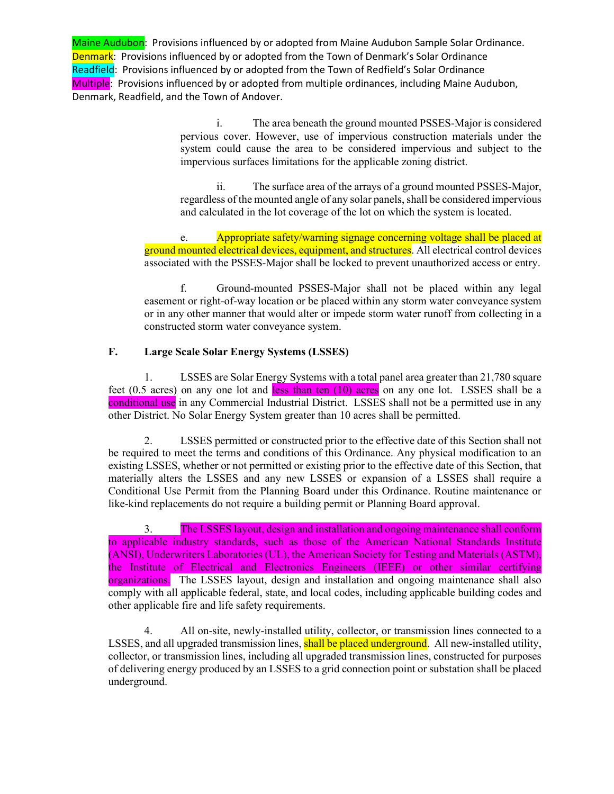> i. The area beneath the ground mounted PSSES-Major is considered pervious cover. However, use of impervious construction materials under the system could cause the area to be considered impervious and subject to the impervious surfaces limitations for the applicable zoning district.

> ii. The surface area of the arrays of a ground mounted PSSES-Major, regardless of the mounted angle of any solar panels, shall be considered impervious and calculated in the lot coverage of the lot on which the system is located.

e. Appropriate safety/warning signage concerning voltage shall be placed at ground mounted electrical devices, equipment, and structures. All electrical control devices associated with the PSSES-Major shall be locked to prevent unauthorized access or entry.

f. Ground-mounted PSSES-Major shall not be placed within any legal easement or right-of-way location or be placed within any storm water conveyance system or in any other manner that would alter or impede storm water runoff from collecting in a constructed storm water conveyance system.

### **F. Large Scale Solar Energy Systems (LSSES)**

1. LSSES are Solar Energy Systems with a total panel area greater than 21,780 square feet  $(0.5 \text{ acres})$  on any one lot and less than ten  $(10)$  acres on any one lot. LSSES shall be a conditional use in any Commercial Industrial District. LSSES shall not be a permitted use in any other District. No Solar Energy System greater than 10 acres shall be permitted.

2. LSSES permitted or constructed prior to the effective date of this Section shall not be required to meet the terms and conditions of this Ordinance. Any physical modification to an existing LSSES, whether or not permitted or existing prior to the effective date of this Section, that materially alters the LSSES and any new LSSES or expansion of a LSSES shall require a Conditional Use Permit from the Planning Board under this Ordinance. Routine maintenance or like-kind replacements do not require a building permit or Planning Board approval.

3. The LSSES layout, design and installation and ongoing maintenance shall conform to applicable industry standards, such as those of the American National Standards Institute (ANSI), Underwriters Laboratories (UL), the American Society for Testing and Materials (ASTM), the Institute of Electrical and Electronics Engineers (IEEE) or other similar certifying organizations. The LSSES layout, design and installation and ongoing maintenance shall also comply with all applicable federal, state, and local codes, including applicable building codes and other applicable fire and life safety requirements.

4. All on-site, newly-installed utility, collector, or transmission lines connected to a LSSES, and all upgraded transmission lines, shall be placed underground. All new-installed utility, collector, or transmission lines, including all upgraded transmission lines, constructed for purposes of delivering energy produced by an LSSES to a grid connection point or substation shall be placed underground.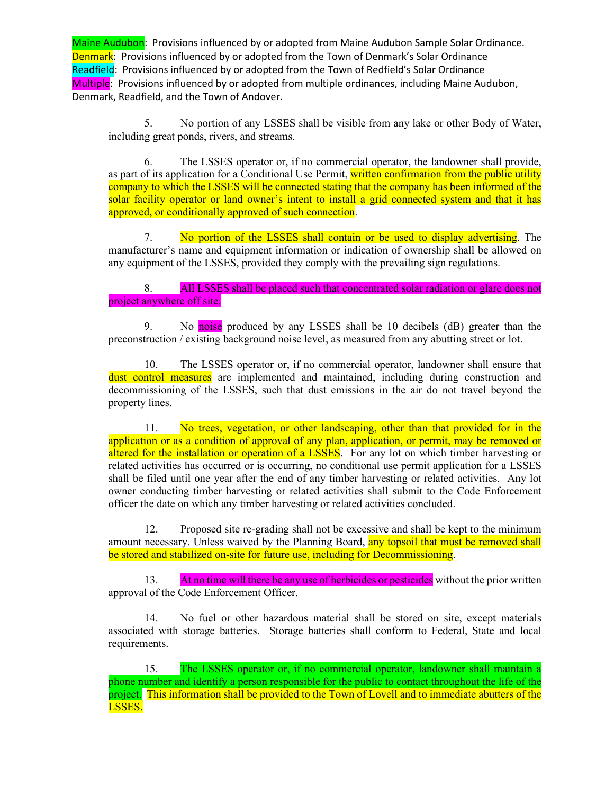5. No portion of any LSSES shall be visible from any lake or other Body of Water, including great ponds, rivers, and streams.

6. The LSSES operator or, if no commercial operator, the landowner shall provide, as part of its application for a Conditional Use Permit, written confirmation from the public utility company to which the LSSES will be connected stating that the company has been informed of the solar facility operator or land owner's intent to install a grid connected system and that it has approved, or conditionally approved of such connection.

7. No portion of the LSSES shall contain or be used to display advertising. The manufacturer's name and equipment information or indication of ownership shall be allowed on any equipment of the LSSES, provided they comply with the prevailing sign regulations.

8. All LSSES shall be placed such that concentrated solar radiation or glare does not project anywhere off site.

9. No noise produced by any LSSES shall be 10 decibels (dB) greater than the preconstruction / existing background noise level, as measured from any abutting street or lot.

10. The LSSES operator or, if no commercial operator, landowner shall ensure that dust control measures are implemented and maintained, including during construction and decommissioning of the LSSES, such that dust emissions in the air do not travel beyond the property lines.

11. No trees, vegetation, or other landscaping, other than that provided for in the application or as a condition of approval of any plan, application, or permit, may be removed or altered for the installation or operation of a LSSES. For any lot on which timber harvesting or related activities has occurred or is occurring, no conditional use permit application for a LSSES shall be filed until one year after the end of any timber harvesting or related activities. Any lot owner conducting timber harvesting or related activities shall submit to the Code Enforcement officer the date on which any timber harvesting or related activities concluded.

12. Proposed site re-grading shall not be excessive and shall be kept to the minimum amount necessary. Unless waived by the Planning Board, any topsoil that must be removed shall be stored and stabilized on-site for future use, including for Decommissioning.

13. At no time will there be any use of herbicides or pesticides without the prior written approval of the Code Enforcement Officer.

14. No fuel or other hazardous material shall be stored on site, except materials associated with storage batteries. Storage batteries shall conform to Federal, State and local requirements.

15. The LSSES operator or, if no commercial operator, landowner shall maintain a phone number and identify a person responsible for the public to contact throughout the life of the project. This information shall be provided to the Town of Lovell and to immediate abutters of the LSSES.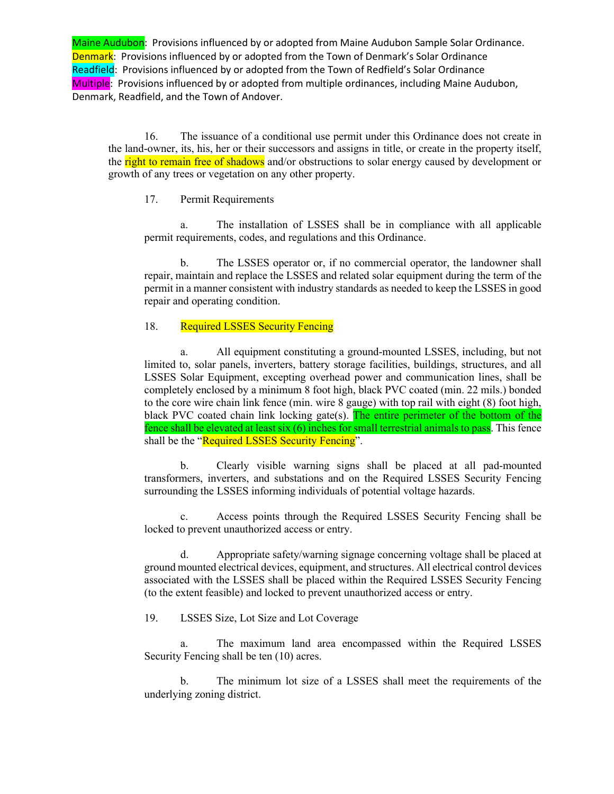16. The issuance of a conditional use permit under this Ordinance does not create in the land-owner, its, his, her or their successors and assigns in title, or create in the property itself, the right to remain free of shadows and/or obstructions to solar energy caused by development or growth of any trees or vegetation on any other property.

### 17. Permit Requirements

a. The installation of LSSES shall be in compliance with all applicable permit requirements, codes, and regulations and this Ordinance.

b. The LSSES operator or, if no commercial operator, the landowner shall repair, maintain and replace the LSSES and related solar equipment during the term of the permit in a manner consistent with industry standards as needed to keep the LSSES in good repair and operating condition.

### 18. Required LSSES Security Fencing

a. All equipment constituting a ground-mounted LSSES, including, but not limited to, solar panels, inverters, battery storage facilities, buildings, structures, and all LSSES Solar Equipment, excepting overhead power and communication lines, shall be completely enclosed by a minimum 8 foot high, black PVC coated (min. 22 mils.) bonded to the core wire chain link fence (min. wire 8 gauge) with top rail with eight (8) foot high, black PVC coated chain link locking gate(s). The entire perimeter of the bottom of the fence shall be elevated at least  $\sin(6)$  inches for small terrestrial animals to pass. This fence shall be the "Required LSSES Security Fencing".

b. Clearly visible warning signs shall be placed at all pad-mounted transformers, inverters, and substations and on the Required LSSES Security Fencing surrounding the LSSES informing individuals of potential voltage hazards.

c. Access points through the Required LSSES Security Fencing shall be locked to prevent unauthorized access or entry.

d. Appropriate safety/warning signage concerning voltage shall be placed at ground mounted electrical devices, equipment, and structures. All electrical control devices associated with the LSSES shall be placed within the Required LSSES Security Fencing (to the extent feasible) and locked to prevent unauthorized access or entry.

19. LSSES Size, Lot Size and Lot Coverage

a. The maximum land area encompassed within the Required LSSES Security Fencing shall be ten (10) acres.

b. The minimum lot size of a LSSES shall meet the requirements of the underlying zoning district.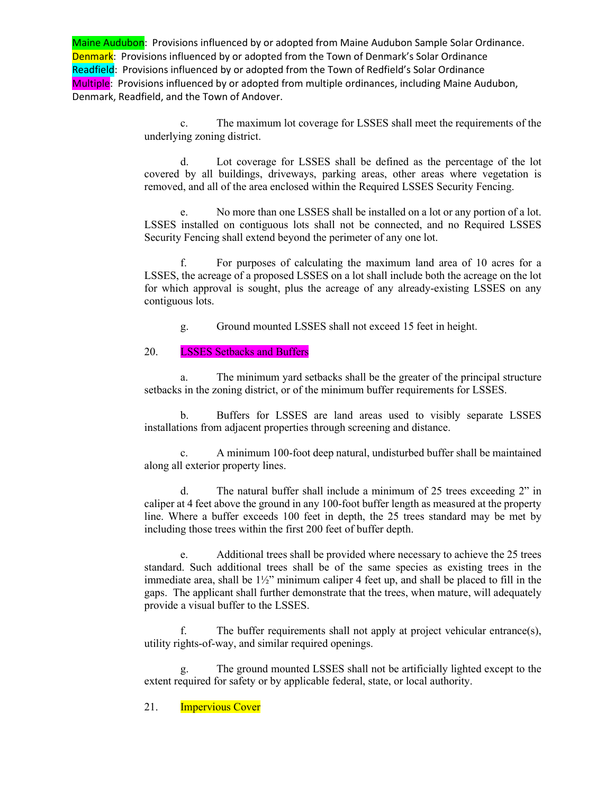> c. The maximum lot coverage for LSSES shall meet the requirements of the underlying zoning district.

> d. Lot coverage for LSSES shall be defined as the percentage of the lot covered by all buildings, driveways, parking areas, other areas where vegetation is removed, and all of the area enclosed within the Required LSSES Security Fencing.

> e. No more than one LSSES shall be installed on a lot or any portion of a lot. LSSES installed on contiguous lots shall not be connected, and no Required LSSES Security Fencing shall extend beyond the perimeter of any one lot.

> f. For purposes of calculating the maximum land area of 10 acres for a LSSES, the acreage of a proposed LSSES on a lot shall include both the acreage on the lot for which approval is sought, plus the acreage of any already-existing LSSES on any contiguous lots.

g. Ground mounted LSSES shall not exceed 15 feet in height.

### 20. **LSSES Setbacks and Buffers**

a. The minimum yard setbacks shall be the greater of the principal structure setbacks in the zoning district, or of the minimum buffer requirements for LSSES.

b. Buffers for LSSES are land areas used to visibly separate LSSES installations from adjacent properties through screening and distance.

c. A minimum 100-foot deep natural, undisturbed buffer shall be maintained along all exterior property lines.

d. The natural buffer shall include a minimum of 25 trees exceeding 2" in caliper at 4 feet above the ground in any 100-foot buffer length as measured at the property line. Where a buffer exceeds 100 feet in depth, the 25 trees standard may be met by including those trees within the first 200 feet of buffer depth.

e. Additional trees shall be provided where necessary to achieve the 25 trees standard. Such additional trees shall be of the same species as existing trees in the immediate area, shall be  $1\frac{1}{2}$ " minimum caliper 4 feet up, and shall be placed to fill in the gaps. The applicant shall further demonstrate that the trees, when mature, will adequately provide a visual buffer to the LSSES.

f. The buffer requirements shall not apply at project vehicular entrance(s), utility rights-of-way, and similar required openings.

g. The ground mounted LSSES shall not be artificially lighted except to the extent required for safety or by applicable federal, state, or local authority.

### 21. **Impervious Cover**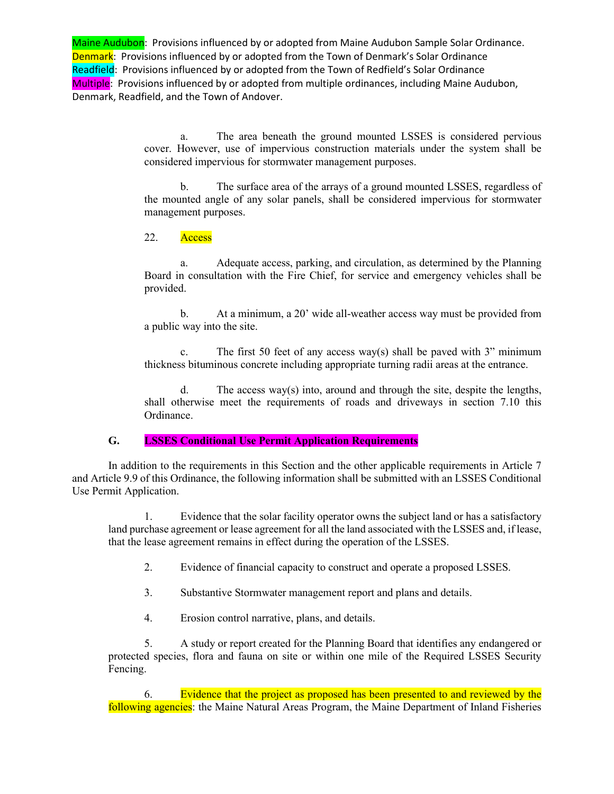> a. The area beneath the ground mounted LSSES is considered pervious cover. However, use of impervious construction materials under the system shall be considered impervious for stormwater management purposes.

> b. The surface area of the arrays of a ground mounted LSSES, regardless of the mounted angle of any solar panels, shall be considered impervious for stormwater management purposes.

22. Access

a. Adequate access, parking, and circulation, as determined by the Planning Board in consultation with the Fire Chief, for service and emergency vehicles shall be provided.

b. At a minimum, a 20' wide all-weather access way must be provided from a public way into the site.

c. The first 50 feet of any access way(s) shall be paved with 3" minimum thickness bituminous concrete including appropriate turning radii areas at the entrance.

d. The access way(s) into, around and through the site, despite the lengths, shall otherwise meet the requirements of roads and driveways in section 7.10 this Ordinance.

### **G. LSSES Conditional Use Permit Application Requirements**

In addition to the requirements in this Section and the other applicable requirements in Article 7 and Article 9.9 of this Ordinance, the following information shall be submitted with an LSSES Conditional Use Permit Application.

1. Evidence that the solar facility operator owns the subject land or has a satisfactory land purchase agreement or lease agreement for all the land associated with the LSSES and, if lease, that the lease agreement remains in effect during the operation of the LSSES.

- 2. Evidence of financial capacity to construct and operate a proposed LSSES.
- 3. Substantive Stormwater management report and plans and details.
- 4. Erosion control narrative, plans, and details.

5. A study or report created for the Planning Board that identifies any endangered or protected species, flora and fauna on site or within one mile of the Required LSSES Security Fencing.

6. Evidence that the project as proposed has been presented to and reviewed by the following agencies: the Maine Natural Areas Program, the Maine Department of Inland Fisheries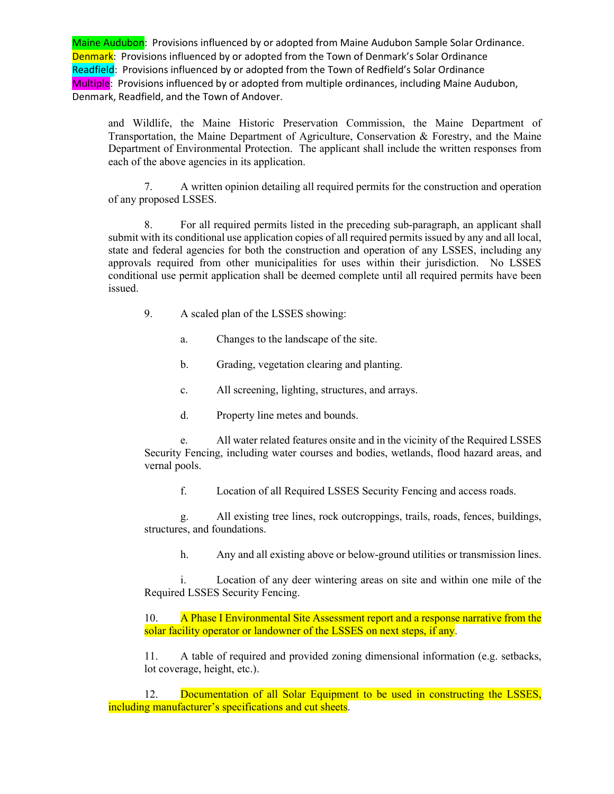and Wildlife, the Maine Historic Preservation Commission, the Maine Department of Transportation, the Maine Department of Agriculture, Conservation & Forestry, and the Maine Department of Environmental Protection. The applicant shall include the written responses from each of the above agencies in its application.

7. A written opinion detailing all required permits for the construction and operation of any proposed LSSES.

8. For all required permits listed in the preceding sub-paragraph, an applicant shall submit with its conditional use application copies of all required permits issued by any and all local, state and federal agencies for both the construction and operation of any LSSES, including any approvals required from other municipalities for uses within their jurisdiction. No LSSES conditional use permit application shall be deemed complete until all required permits have been issued.

- 9. A scaled plan of the LSSES showing:
	- a. Changes to the landscape of the site.
	- b. Grading, vegetation clearing and planting.
	- c. All screening, lighting, structures, and arrays.
	- d. Property line metes and bounds.

e. All water related features onsite and in the vicinity of the Required LSSES Security Fencing, including water courses and bodies, wetlands, flood hazard areas, and vernal pools.

f. Location of all Required LSSES Security Fencing and access roads.

g. All existing tree lines, rock outcroppings, trails, roads, fences, buildings, structures, and foundations.

h. Any and all existing above or below-ground utilities or transmission lines.

i. Location of any deer wintering areas on site and within one mile of the Required LSSES Security Fencing.

10. A Phase I Environmental Site Assessment report and a response narrative from the solar facility operator or landowner of the LSSES on next steps, if any.

11. A table of required and provided zoning dimensional information (e.g. setbacks, lot coverage, height, etc.).

12. Documentation of all Solar Equipment to be used in constructing the LSSES, including manufacturer's specifications and cut sheets.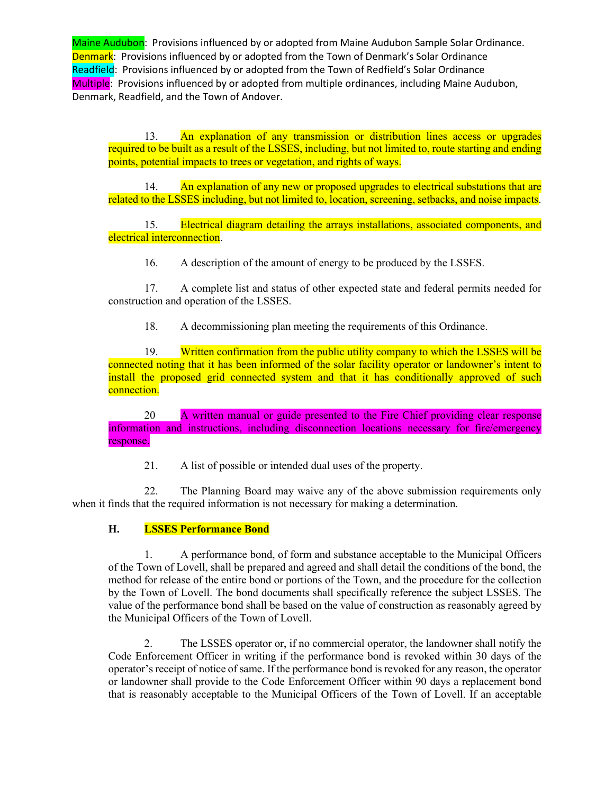13. An explanation of any transmission or distribution lines access or upgrades required to be built as a result of the LSSES, including, but not limited to, route starting and ending points, potential impacts to trees or vegetation, and rights of ways.

14. An explanation of any new or proposed upgrades to electrical substations that are related to the LSSES including, but not limited to, location, screening, setbacks, and noise impacts.

15. Electrical diagram detailing the arrays installations, associated components, and electrical interconnection.

16. A description of the amount of energy to be produced by the LSSES.

17. A complete list and status of other expected state and federal permits needed for construction and operation of the LSSES.

18. A decommissioning plan meeting the requirements of this Ordinance.

19. Written confirmation from the public utility company to which the LSSES will be connected noting that it has been informed of the solar facility operator or landowner's intent to install the proposed grid connected system and that it has conditionally approved of such connection.

20 A written manual or guide presented to the Fire Chief providing clear response information and instructions, including disconnection locations necessary for fire/emergency response.

21. A list of possible or intended dual uses of the property.

22. The Planning Board may waive any of the above submission requirements only when it finds that the required information is not necessary for making a determination.

# **H. LSSES Performance Bond**

1. A performance bond, of form and substance acceptable to the Municipal Officers of the Town of Lovell, shall be prepared and agreed and shall detail the conditions of the bond, the method for release of the entire bond or portions of the Town, and the procedure for the collection by the Town of Lovell. The bond documents shall specifically reference the subject LSSES. The value of the performance bond shall be based on the value of construction as reasonably agreed by the Municipal Officers of the Town of Lovell.

2. The LSSES operator or, if no commercial operator, the landowner shall notify the Code Enforcement Officer in writing if the performance bond is revoked within 30 days of the operator's receipt of notice of same. If the performance bond is revoked for any reason, the operator or landowner shall provide to the Code Enforcement Officer within 90 days a replacement bond that is reasonably acceptable to the Municipal Officers of the Town of Lovell. If an acceptable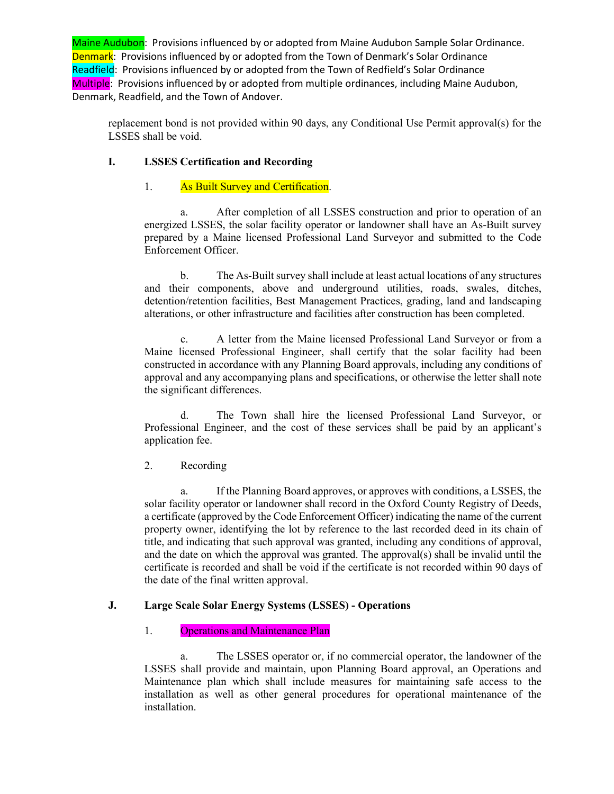replacement bond is not provided within 90 days, any Conditional Use Permit approval(s) for the LSSES shall be void.

# **I. LSSES Certification and Recording**

# 1. As Built Survey and Certification.

a. After completion of all LSSES construction and prior to operation of an energized LSSES, the solar facility operator or landowner shall have an As-Built survey prepared by a Maine licensed Professional Land Surveyor and submitted to the Code Enforcement Officer.

b. The As-Built survey shall include at least actual locations of any structures and their components, above and underground utilities, roads, swales, ditches, detention/retention facilities, Best Management Practices, grading, land and landscaping alterations, or other infrastructure and facilities after construction has been completed.

c. A letter from the Maine licensed Professional Land Surveyor or from a Maine licensed Professional Engineer, shall certify that the solar facility had been constructed in accordance with any Planning Board approvals, including any conditions of approval and any accompanying plans and specifications, or otherwise the letter shall note the significant differences.

d. The Town shall hire the licensed Professional Land Surveyor, or Professional Engineer, and the cost of these services shall be paid by an applicant's application fee.

# 2. Recording

a. If the Planning Board approves, or approves with conditions, a LSSES, the solar facility operator or landowner shall record in the Oxford County Registry of Deeds, a certificate (approved by the Code Enforcement Officer) indicating the name of the current property owner, identifying the lot by reference to the last recorded deed in its chain of title, and indicating that such approval was granted, including any conditions of approval, and the date on which the approval was granted. The approval(s) shall be invalid until the certificate is recorded and shall be void if the certificate is not recorded within 90 days of the date of the final written approval.

### **J. Large Scale Solar Energy Systems (LSSES) - Operations**

# 1. Operations and Maintenance Plan

a. The LSSES operator or, if no commercial operator, the landowner of the LSSES shall provide and maintain, upon Planning Board approval, an Operations and Maintenance plan which shall include measures for maintaining safe access to the installation as well as other general procedures for operational maintenance of the installation.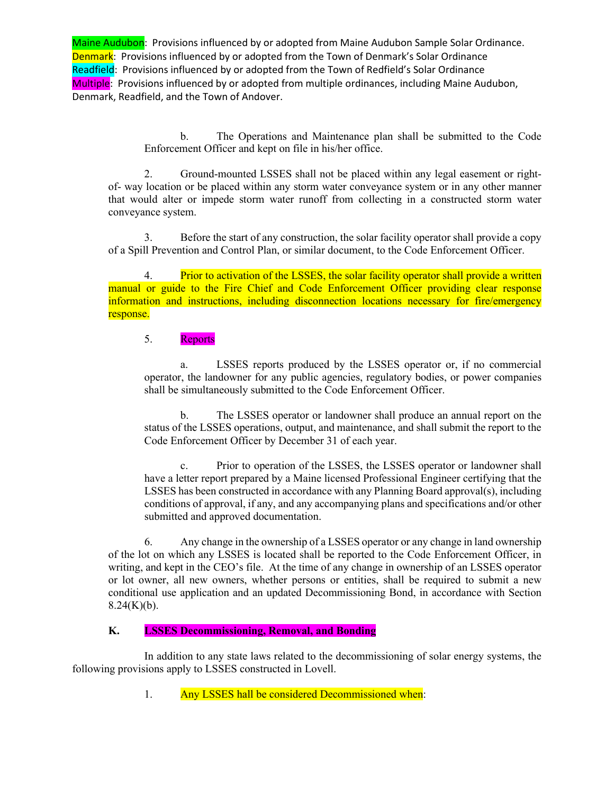> b. The Operations and Maintenance plan shall be submitted to the Code Enforcement Officer and kept on file in his/her office.

2. Ground-mounted LSSES shall not be placed within any legal easement or rightof- way location or be placed within any storm water conveyance system or in any other manner that would alter or impede storm water runoff from collecting in a constructed storm water conveyance system.

3. Before the start of any construction, the solar facility operator shall provide a copy of a Spill Prevention and Control Plan, or similar document, to the Code Enforcement Officer.

4. Prior to activation of the LSSES, the solar facility operator shall provide a written manual or guide to the Fire Chief and Code Enforcement Officer providing clear response information and instructions, including disconnection locations necessary for fire/emergency response.

### 5. Reports

a. LSSES reports produced by the LSSES operator or, if no commercial operator, the landowner for any public agencies, regulatory bodies, or power companies shall be simultaneously submitted to the Code Enforcement Officer.

b. The LSSES operator or landowner shall produce an annual report on the status of the LSSES operations, output, and maintenance, and shall submit the report to the Code Enforcement Officer by December 31 of each year.

c. Prior to operation of the LSSES, the LSSES operator or landowner shall have a letter report prepared by a Maine licensed Professional Engineer certifying that the LSSES has been constructed in accordance with any Planning Board approval(s), including conditions of approval, if any, and any accompanying plans and specifications and/or other submitted and approved documentation.

6. Any change in the ownership of a LSSES operator or any change in land ownership of the lot on which any LSSES is located shall be reported to the Code Enforcement Officer, in writing, and kept in the CEO's file. At the time of any change in ownership of an LSSES operator or lot owner, all new owners, whether persons or entities, shall be required to submit a new conditional use application and an updated Decommissioning Bond, in accordance with Section  $8.24(K)(b)$ .

### **K. LSSES Decommissioning, Removal, and Bonding**

In addition to any state laws related to the decommissioning of solar energy systems, the following provisions apply to LSSES constructed in Lovell.

1. Any LSSES hall be considered Decommissioned when: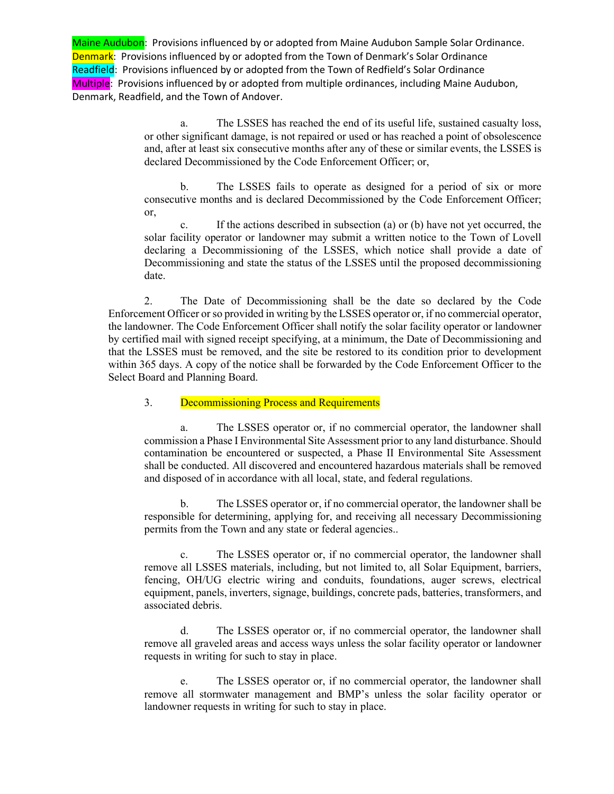> a. The LSSES has reached the end of its useful life, sustained casualty loss, or other significant damage, is not repaired or used or has reached a point of obsolescence and, after at least six consecutive months after any of these or similar events, the LSSES is declared Decommissioned by the Code Enforcement Officer; or,

> b. The LSSES fails to operate as designed for a period of six or more consecutive months and is declared Decommissioned by the Code Enforcement Officer; or,

> c. If the actions described in subsection (a) or (b) have not yet occurred, the solar facility operator or landowner may submit a written notice to the Town of Lovell declaring a Decommissioning of the LSSES, which notice shall provide a date of Decommissioning and state the status of the LSSES until the proposed decommissioning date.

2. The Date of Decommissioning shall be the date so declared by the Code Enforcement Officer or so provided in writing by the LSSES operator or, if no commercial operator, the landowner. The Code Enforcement Officer shall notify the solar facility operator or landowner by certified mail with signed receipt specifying, at a minimum, the Date of Decommissioning and that the LSSES must be removed, and the site be restored to its condition prior to development within 365 days. A copy of the notice shall be forwarded by the Code Enforcement Officer to the Select Board and Planning Board.

3. Decommissioning Process and Requirements

a. The LSSES operator or, if no commercial operator, the landowner shall commission a Phase I Environmental Site Assessment prior to any land disturbance. Should contamination be encountered or suspected, a Phase II Environmental Site Assessment shall be conducted. All discovered and encountered hazardous materials shall be removed and disposed of in accordance with all local, state, and federal regulations.

b. The LSSES operator or, if no commercial operator, the landowner shall be responsible for determining, applying for, and receiving all necessary Decommissioning permits from the Town and any state or federal agencies..

c. The LSSES operator or, if no commercial operator, the landowner shall remove all LSSES materials, including, but not limited to, all Solar Equipment, barriers, fencing, OH/UG electric wiring and conduits, foundations, auger screws, electrical equipment, panels, inverters, signage, buildings, concrete pads, batteries, transformers, and associated debris.

d. The LSSES operator or, if no commercial operator, the landowner shall remove all graveled areas and access ways unless the solar facility operator or landowner requests in writing for such to stay in place.

e. The LSSES operator or, if no commercial operator, the landowner shall remove all stormwater management and BMP's unless the solar facility operator or landowner requests in writing for such to stay in place.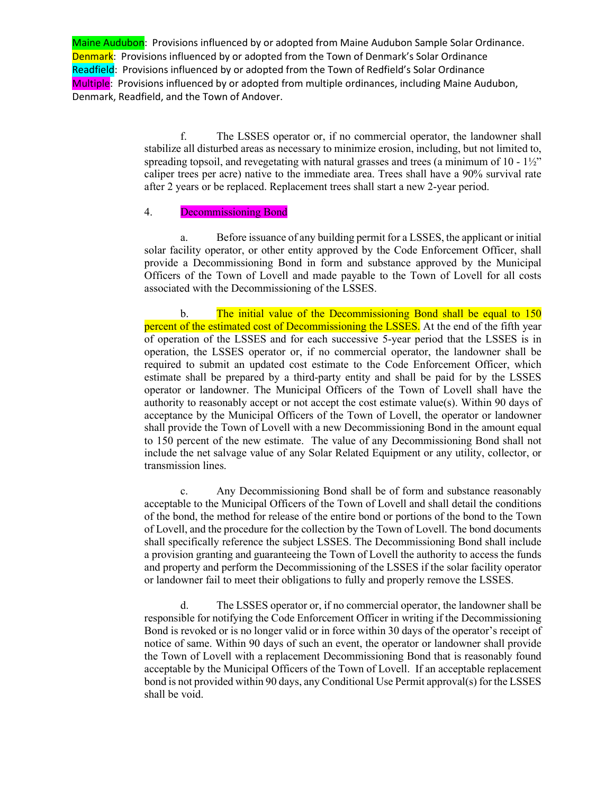> f. The LSSES operator or, if no commercial operator, the landowner shall stabilize all disturbed areas as necessary to minimize erosion, including, but not limited to, spreading topsoil, and revegetating with natural grasses and trees (a minimum of  $10 - 1\frac{1}{2}$ ") caliper trees per acre) native to the immediate area. Trees shall have a 90% survival rate after 2 years or be replaced. Replacement trees shall start a new 2-year period.

#### 4. **Decommissioning Bond**

a. Before issuance of any building permit for a LSSES, the applicant or initial solar facility operator, or other entity approved by the Code Enforcement Officer, shall provide a Decommissioning Bond in form and substance approved by the Municipal Officers of the Town of Lovell and made payable to the Town of Lovell for all costs associated with the Decommissioning of the LSSES.

b. The initial value of the Decommissioning Bond shall be equal to 150 percent of the estimated cost of Decommissioning the LSSES. At the end of the fifth year of operation of the LSSES and for each successive 5-year period that the LSSES is in operation, the LSSES operator or, if no commercial operator, the landowner shall be required to submit an updated cost estimate to the Code Enforcement Officer, which estimate shall be prepared by a third-party entity and shall be paid for by the LSSES operator or landowner. The Municipal Officers of the Town of Lovell shall have the authority to reasonably accept or not accept the cost estimate value $(s)$ . Within 90 days of acceptance by the Municipal Officers of the Town of Lovell, the operator or landowner shall provide the Town of Lovell with a new Decommissioning Bond in the amount equal to 150 percent of the new estimate. The value of any Decommissioning Bond shall not include the net salvage value of any Solar Related Equipment or any utility, collector, or transmission lines.

c. Any Decommissioning Bond shall be of form and substance reasonably acceptable to the Municipal Officers of the Town of Lovell and shall detail the conditions of the bond, the method for release of the entire bond or portions of the bond to the Town of Lovell, and the procedure for the collection by the Town of Lovell. The bond documents shall specifically reference the subject LSSES. The Decommissioning Bond shall include a provision granting and guaranteeing the Town of Lovell the authority to access the funds and property and perform the Decommissioning of the LSSES if the solar facility operator or landowner fail to meet their obligations to fully and properly remove the LSSES.

d. The LSSES operator or, if no commercial operator, the landowner shall be responsible for notifying the Code Enforcement Officer in writing if the Decommissioning Bond is revoked or is no longer valid or in force within 30 days of the operator's receipt of notice of same. Within 90 days of such an event, the operator or landowner shall provide the Town of Lovell with a replacement Decommissioning Bond that is reasonably found acceptable by the Municipal Officers of the Town of Lovell. If an acceptable replacement bond is not provided within 90 days, any Conditional Use Permit approval(s) for the LSSES shall be void.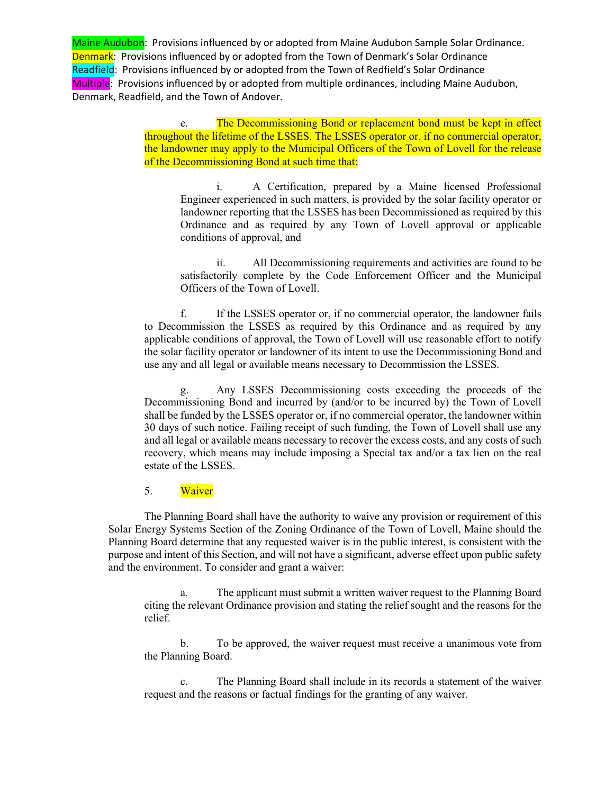> e. The Decommissioning Bond or replacement bond must be kept in effect throughout the lifetime of the LSSES. The LSSES operator or, if no commercial operator, the landowner may apply to the Municipal Officers of the Town of Lovell for the release of the Decommissioning Bond at such time that:

i. A Certification, prepared by a Maine licensed Professional Engineer experienced in such matters, is provided by the solar facility operator or landowner reporting that the LSSES has been Decommissioned as required by this Ordinance and as required by any Town of Lovell approval or applicable conditions of approval, and

ii. All Decommissioning requirements and activities are found to be satisfactorily complete by the Code Enforcement Officer and the Municipal Officers of the Town of Lovell.

f. If the LSSES operator or, if no commercial operator, the landowner fails to Decommission the LSSES as required by this Ordinance and as required by any applicable conditions of approval, the Town of Lovell will use reasonable effort to notify the solar facility operator or landowner of its intent to use the Decommissioning Bond and use any and all legal or available means necessary to Decommission the LSSES.

g. Any LSSES Decommissioning costs exceeding the proceeds of the Decommissioning Bond and incurred by (and/or to be incurred by) the Town of Lovell shall be funded by the LSSES operator or, if no commercial operator, the landowner within 30 days of such notice. Failing receipt of such funding, the Town of Lovell shall use any and all legal or available means necessary to recover the excess costs, and any costs of such recovery, which means may include imposing a Special tax and/or a tax lien on the real estate of the LSSES.

#### 5. Waiver

The Planning Board shall have the authority to waive any provision or requirement of this Solar Energy Systems Section of the Zoning Ordinance of the Town of Lovell, Maine should the Planning Board determine that any requested waiver is in the public interest, is consistent with the purpose and intent of this Section, and will not have a significant, adverse effect upon public safety and the environment. To consider and grant a waiver:

a. The applicant must submit a written waiver request to the Planning Board citing the relevant Ordinance provision and stating the relief sought and the reasons for the relief.

b. To be approved, the waiver request must receive a unanimous vote from the Planning Board.

c. The Planning Board shall include in its records a statement of the waiver request and the reasons or factual findings for the granting of any waiver.